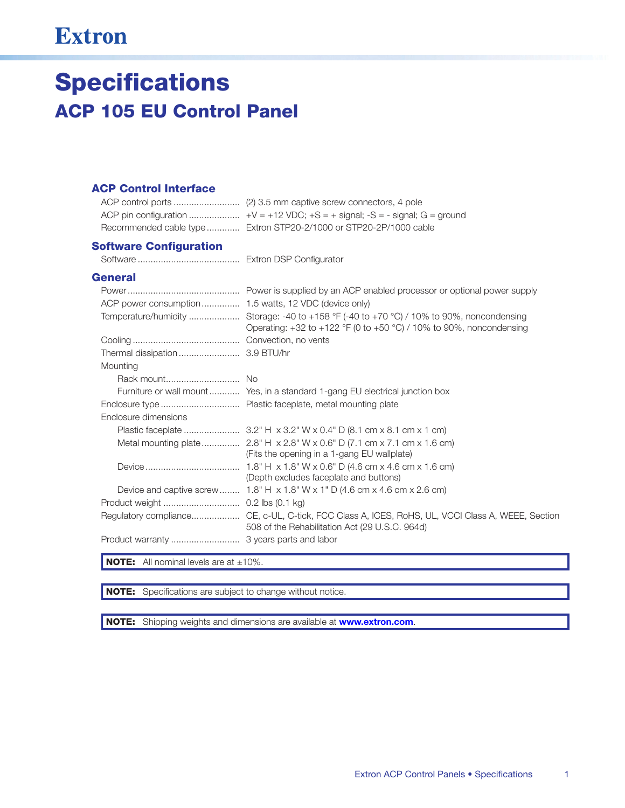## **Extron**

# **Specifications ACP 105 EU Control Panel**

#### **ACP Control Interface**

| Recommended cable type Extron STP20-2/1000 or STP20-2P/1000 cable |
|-------------------------------------------------------------------|

#### **Software Configuration**

#### **General**

| ACP power consumption  1.5 watts, 12 VDC (device only) |                                                                                                                                                                        |
|--------------------------------------------------------|------------------------------------------------------------------------------------------------------------------------------------------------------------------------|
|                                                        | Temperature/humidity  Storage: -40 to +158 °F (-40 to +70 °C) / 10% to 90%, noncondensing<br>Operating: $+32$ to $+122$ °F (0 to $+50$ °C) / 10% to 90%, noncondensing |
|                                                        |                                                                                                                                                                        |
|                                                        |                                                                                                                                                                        |
| Mounting                                               |                                                                                                                                                                        |
|                                                        |                                                                                                                                                                        |
|                                                        | Furniture or wall mount Yes, in a standard 1-gang EU electrical junction box                                                                                           |
|                                                        |                                                                                                                                                                        |
| Enclosure dimensions                                   |                                                                                                                                                                        |
|                                                        |                                                                                                                                                                        |
|                                                        | (Fits the opening in a 1-gang EU wallplate)                                                                                                                            |
|                                                        | (Depth excludes faceplate and buttons)                                                                                                                                 |
|                                                        | Device and captive screw  1.8" H $\times$ 1.8" W $\times$ 1" D (4.6 cm $\times$ 4.6 cm $\times$ 2.6 cm)                                                                |
|                                                        |                                                                                                                                                                        |
|                                                        | Regulatory compliance CE, c-UL, C-tick, FCC Class A, ICES, RoHS, UL, VCCI Class A, WEEE, Section<br>508 of the Rehabilitation Act (29 U.S.C. 964d)                     |
|                                                        |                                                                                                                                                                        |

**NOTE:** All nominal levels are at  $\pm 10\%$ .

NOTE: Specifications are subject to change without notice.

NOTE: Shipping weights and dimensions are available at www.extron.com.